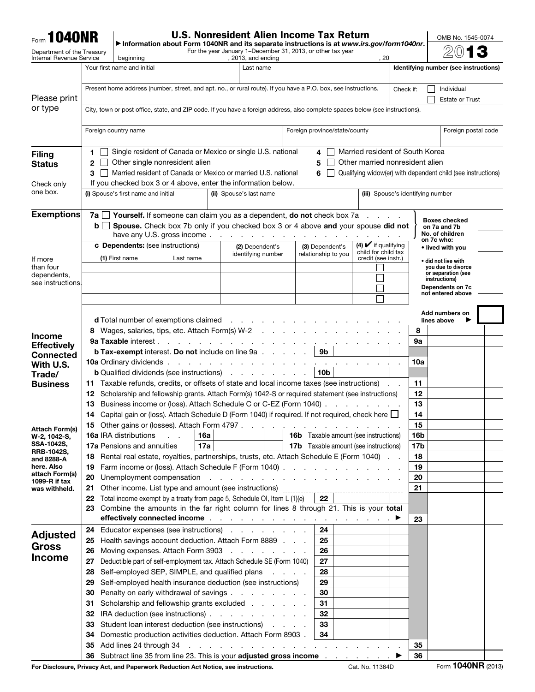| <b>Form 1040NR</b>              |                                                                                                                                                                                     | <b>U.S. Nonresident Alien Income Tax Return</b>                                                                                                          |                                |                                                                                                                                                                                                                                |  |                                        |                                                   |                                   |                                          |  |  |
|---------------------------------|-------------------------------------------------------------------------------------------------------------------------------------------------------------------------------------|----------------------------------------------------------------------------------------------------------------------------------------------------------|--------------------------------|--------------------------------------------------------------------------------------------------------------------------------------------------------------------------------------------------------------------------------|--|----------------------------------------|---------------------------------------------------|-----------------------------------|------------------------------------------|--|--|
| Department of the Treasury      |                                                                                                                                                                                     | Information about Form 1040NR and its separate instructions is at www.irs.gov/form1040nr.<br>For the year January 1–December 31, 2013, or other tax year |                                |                                                                                                                                                                                                                                |  |                                        |                                                   |                                   |                                          |  |  |
| <b>Internal Revenue Service</b> |                                                                                                                                                                                     | beginning<br>Your first name and initial                                                                                                                 |                                | , 2013, and ending<br>Last name                                                                                                                                                                                                |  |                                        | . 20                                              |                                   | Identifying number (see instructions)    |  |  |
|                                 | Present home address (number, street, and apt. no., or rural route). If you have a P.O. box, see instructions.                                                                      |                                                                                                                                                          |                                |                                                                                                                                                                                                                                |  |                                        |                                                   |                                   |                                          |  |  |
| Please print                    |                                                                                                                                                                                     | Check if:                                                                                                                                                | Individual                     |                                                                                                                                                                                                                                |  |                                        |                                                   |                                   |                                          |  |  |
| or type                         |                                                                                                                                                                                     | City, town or post office, state, and ZIP code. If you have a foreign address, also complete spaces below (see instructions).                            |                                | <b>Estate or Trust</b>                                                                                                                                                                                                         |  |                                        |                                                   |                                   |                                          |  |  |
|                                 |                                                                                                                                                                                     |                                                                                                                                                          |                                |                                                                                                                                                                                                                                |  |                                        |                                                   |                                   |                                          |  |  |
|                                 | Foreign country name                                                                                                                                                                | Foreign postal code                                                                                                                                      |                                |                                                                                                                                                                                                                                |  |                                        |                                                   |                                   |                                          |  |  |
|                                 | 1.                                                                                                                                                                                  | Single resident of Canada or Mexico or single U.S. national                                                                                              |                                |                                                                                                                                                                                                                                |  | 4                                      | Married resident of South Korea                   |                                   |                                          |  |  |
| <b>Filing</b><br><b>Status</b>  | 2                                                                                                                                                                                   | Other married nonresident alien                                                                                                                          |                                |                                                                                                                                                                                                                                |  |                                        |                                                   |                                   |                                          |  |  |
|                                 | З.                                                                                                                                                                                  | Qualifying widow(er) with dependent child (see instructions)                                                                                             |                                |                                                                                                                                                                                                                                |  |                                        |                                                   |                                   |                                          |  |  |
| Check only                      |                                                                                                                                                                                     | If you checked box 3 or 4 above, enter the information below.                                                                                            |                                |                                                                                                                                                                                                                                |  |                                        |                                                   |                                   |                                          |  |  |
| one box.                        |                                                                                                                                                                                     | (i) Spouse's first name and initial                                                                                                                      |                                | (ii) Spouse's last name                                                                                                                                                                                                        |  |                                        |                                                   | (iii) Spouse's identifying number |                                          |  |  |
| <b>Exemptions</b>               |                                                                                                                                                                                     | <b>7a</b> $\Box$ <b>Yourself.</b> If someone can claim you as a dependent, <b>do not</b> check box 7a                                                    |                                |                                                                                                                                                                                                                                |  |                                        |                                                   |                                   |                                          |  |  |
|                                 | bll                                                                                                                                                                                 | Spouse. Check box 7b only if you checked box 3 or 4 above and your spouse did not                                                                        |                                |                                                                                                                                                                                                                                |  |                                        |                                                   |                                   | <b>Boxes checked</b><br>on 7a and 7b     |  |  |
|                                 |                                                                                                                                                                                     | have any U.S. gross income                                                                                                                               |                                |                                                                                                                                                                                                                                |  |                                        |                                                   |                                   | No. of children<br>on 7c who:            |  |  |
|                                 |                                                                                                                                                                                     | c Dependents: (see instructions)                                                                                                                         |                                | (2) Dependent's<br>identifying number                                                                                                                                                                                          |  | (3) Dependent's<br>relationship to you | $(4)$ $\vee$ if qualifying<br>child for child tax |                                   | • lived with you                         |  |  |
| If more                         |                                                                                                                                                                                     | (1) First name                                                                                                                                           | Last name                      |                                                                                                                                                                                                                                |  |                                        | credit (see instr.)                               |                                   | • did not live with                      |  |  |
| than four<br>dependents,        |                                                                                                                                                                                     |                                                                                                                                                          |                                |                                                                                                                                                                                                                                |  |                                        |                                                   |                                   | you due to divorce<br>or separation (see |  |  |
| see instructions.               |                                                                                                                                                                                     |                                                                                                                                                          |                                |                                                                                                                                                                                                                                |  |                                        |                                                   |                                   | instructions)<br>Dependents on 7c        |  |  |
|                                 |                                                                                                                                                                                     |                                                                                                                                                          |                                |                                                                                                                                                                                                                                |  |                                        |                                                   |                                   | not entered above                        |  |  |
|                                 |                                                                                                                                                                                     |                                                                                                                                                          |                                |                                                                                                                                                                                                                                |  |                                        |                                                   |                                   | Add numbers on                           |  |  |
|                                 |                                                                                                                                                                                     | <b>d</b> Total number of exemptions claimed                                                                                                              |                                | the contract of the contract of the contract of the                                                                                                                                                                            |  |                                        |                                                   |                                   | lines above                              |  |  |
| <b>Income</b>                   |                                                                                                                                                                                     | 8 Wages, salaries, tips, etc. Attach Form(s) W-2                                                                                                         |                                |                                                                                                                                                                                                                                |  |                                        |                                                   | 8                                 |                                          |  |  |
| <b>Effectively</b>              |                                                                                                                                                                                     | <b>9a Taxable interest.</b>                                                                                                                              |                                | the contract of the contract of the con-                                                                                                                                                                                       |  | 9b                                     |                                                   | 9а                                |                                          |  |  |
| <b>Connected</b>                |                                                                                                                                                                                     | <b>b Tax-exempt</b> interest. Do not include on line 9a                                                                                                  |                                |                                                                                                                                                                                                                                |  |                                        |                                                   |                                   |                                          |  |  |
| With U.S.                       |                                                                                                                                                                                     | <b>10a</b> Ordinary dividends.<br><b>b</b> Qualified dividends (see instructions)                                                                        |                                | the contract of the contract of the contract of                                                                                                                                                                                |  | 10 <sub>b</sub>                        |                                                   | <b>10a</b>                        |                                          |  |  |
| Trade/<br><b>Business</b>       | 11 Taxable refunds, credits, or offsets of state and local income taxes (see instructions).                                                                                         | 11                                                                                                                                                       |                                |                                                                                                                                                                                                                                |  |                                        |                                                   |                                   |                                          |  |  |
|                                 | 12.                                                                                                                                                                                 | Scholarship and fellowship grants. Attach Form(s) 1042-S or required statement (see instructions)<br>12                                                  |                                |                                                                                                                                                                                                                                |  |                                        |                                                   |                                   |                                          |  |  |
|                                 | 13                                                                                                                                                                                  | Business income or (loss). Attach Schedule C or C-EZ (Form 1040).                                                                                        | 13<br>and a state of the state |                                                                                                                                                                                                                                |  |                                        |                                                   |                                   |                                          |  |  |
|                                 | 14                                                                                                                                                                                  | Capital gain or (loss). Attach Schedule D (Form 1040) if required. If not required, check here □                                                         |                                |                                                                                                                                                                                                                                |  |                                        |                                                   | 14                                |                                          |  |  |
| <b>Attach Form(s)</b>           |                                                                                                                                                                                     | 15 Other gains or (losses). Attach Form 4797.                                                                                                            |                                |                                                                                                                                                                                                                                |  |                                        |                                                   | 15                                |                                          |  |  |
| W-2, 1042-S,                    |                                                                                                                                                                                     | 16a IRA distributions<br>16a<br><b>16b</b> Taxable amount (see instructions)                                                                             |                                |                                                                                                                                                                                                                                |  |                                        | 16b                                               |                                   |                                          |  |  |
| SSA-1042S,<br><b>RRB-1042S,</b> | <b>17a Pensions and annuities</b><br>17a<br><b>17b</b> Taxable amount (see instructions)<br>Rental real estate, royalties, partnerships, trusts, etc. Attach Schedule E (Form 1040) |                                                                                                                                                          |                                |                                                                                                                                                                                                                                |  |                                        |                                                   |                                   | 17b                                      |  |  |
| and 8288-A<br>here. Also        | 18                                                                                                                                                                                  |                                                                                                                                                          | 18                             |                                                                                                                                                                                                                                |  |                                        |                                                   |                                   |                                          |  |  |
| attach Form(s)                  | Farm income or (loss). Attach Schedule F (Form 1040)<br>19<br>Unemployment compensation resources and resources and resources are a set of the Union of Theorem and Theorem<br>20   |                                                                                                                                                          |                                |                                                                                                                                                                                                                                |  |                                        |                                                   | 19<br>20                          |                                          |  |  |
| 1099-R if tax<br>was withheld.  | 21                                                                                                                                                                                  |                                                                                                                                                          |                                |                                                                                                                                                                                                                                |  |                                        |                                                   |                                   |                                          |  |  |
|                                 | 21<br>22<br>Total income exempt by a treaty from page 5, Schedule OI, Item L (1)(e)<br>22                                                                                           |                                                                                                                                                          |                                |                                                                                                                                                                                                                                |  |                                        |                                                   |                                   |                                          |  |  |
|                                 | 23                                                                                                                                                                                  | Combine the amounts in the far right column for lines 8 through 21. This is your total                                                                   |                                |                                                                                                                                                                                                                                |  |                                        |                                                   |                                   |                                          |  |  |
|                                 |                                                                                                                                                                                     | effectively connected income $\ldots$ and $\ldots$ and $\ldots$ and $\ldots$ and $\blacktriangleright$                                                   |                                |                                                                                                                                                                                                                                |  |                                        |                                                   | 23                                |                                          |  |  |
| <b>Adjusted</b>                 | 24                                                                                                                                                                                  | Educator expenses (see instructions)                                                                                                                     |                                |                                                                                                                                                                                                                                |  | 24                                     |                                                   |                                   |                                          |  |  |
| Gross                           | 25                                                                                                                                                                                  | Health savings account deduction. Attach Form 8889                                                                                                       |                                |                                                                                                                                                                                                                                |  | 25                                     |                                                   |                                   |                                          |  |  |
| <b>Income</b>                   | 26                                                                                                                                                                                  | Moving expenses. Attach Form 3903                                                                                                                        |                                |                                                                                                                                                                                                                                |  | 26                                     |                                                   |                                   |                                          |  |  |
|                                 | 27                                                                                                                                                                                  | Deductible part of self-employment tax. Attach Schedule SE (Form 1040)                                                                                   |                                |                                                                                                                                                                                                                                |  | 27                                     |                                                   |                                   |                                          |  |  |
|                                 | 28<br>29                                                                                                                                                                            | Self-employed SEP, SIMPLE, and qualified plans<br>Self-employed health insurance deduction (see instructions)                                            |                                |                                                                                                                                                                                                                                |  | 28<br>29                               |                                                   |                                   |                                          |  |  |
|                                 | 30                                                                                                                                                                                  | Penalty on early withdrawal of savings                                                                                                                   |                                |                                                                                                                                                                                                                                |  | 30                                     |                                                   |                                   |                                          |  |  |
|                                 | 31                                                                                                                                                                                  | Scholarship and fellowship grants excluded                                                                                                               |                                |                                                                                                                                                                                                                                |  | 31                                     |                                                   |                                   |                                          |  |  |
|                                 | 32                                                                                                                                                                                  | IRA deduction (see instructions)                                                                                                                         |                                |                                                                                                                                                                                                                                |  | 32                                     |                                                   |                                   |                                          |  |  |
|                                 | 33                                                                                                                                                                                  | Student loan interest deduction (see instructions)                                                                                                       |                                |                                                                                                                                                                                                                                |  | 33                                     |                                                   |                                   |                                          |  |  |
|                                 | 34                                                                                                                                                                                  | Domestic production activities deduction. Attach Form 8903.                                                                                              |                                |                                                                                                                                                                                                                                |  | 34                                     |                                                   |                                   |                                          |  |  |
|                                 | 35                                                                                                                                                                                  | Add lines 24 through 34                                                                                                                                  |                                | and the contract of the contract of the contract of the contract of the contract of the contract of the contract of the contract of the contract of the contract of the contract of the contract of the contract of the contra |  |                                        |                                                   | 35                                |                                          |  |  |
|                                 |                                                                                                                                                                                     | 36 Subtract line 35 from line 23. This is your adjusted gross income ▶                                                                                   |                                |                                                                                                                                                                                                                                |  |                                        |                                                   | 36                                |                                          |  |  |

For Disclosure, Privacy Act, and Paperwork Reduction Act Notice, see instructions. Cat. No. 11364D Form **1040NR** (2013)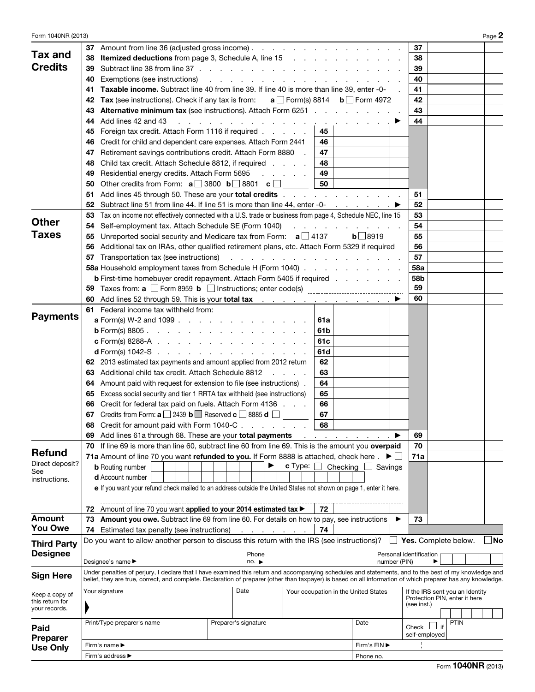| Form 1040NR (2013)                |                                                                                                         |                                                                                                                                                                                                                                                                                                                       |  |                                                                                 |                                                                                                                                                     |     |                             |               |    |               |                                 |      | Page 2 |
|-----------------------------------|---------------------------------------------------------------------------------------------------------|-----------------------------------------------------------------------------------------------------------------------------------------------------------------------------------------------------------------------------------------------------------------------------------------------------------------------|--|---------------------------------------------------------------------------------|-----------------------------------------------------------------------------------------------------------------------------------------------------|-----|-----------------------------|---------------|----|---------------|---------------------------------|------|--------|
|                                   | 37                                                                                                      | Amount from line 36 (adjusted gross income)                                                                                                                                                                                                                                                                           |  |                                                                                 |                                                                                                                                                     |     |                             |               |    | 37            |                                 |      |        |
| <b>Tax and</b>                    | 38                                                                                                      | <b>Itemized deductions</b> from page 3, Schedule A, line 15                                                                                                                                                                                                                                                           |  |                                                                                 |                                                                                                                                                     |     |                             |               |    | 38            |                                 |      |        |
| <b>Credits</b>                    | 39                                                                                                      |                                                                                                                                                                                                                                                                                                                       |  |                                                                                 |                                                                                                                                                     |     |                             |               |    | 39            |                                 |      |        |
|                                   | 40                                                                                                      | Exemptions (see instructions)                                                                                                                                                                                                                                                                                         |  | the contract of the contract of the contract of the contract of the contract of |                                                                                                                                                     |     |                             |               |    | 40            |                                 |      |        |
|                                   | 41                                                                                                      | <b>Taxable income.</b> Subtract line 40 from line 39. If line 40 is more than line 39, enter -0-                                                                                                                                                                                                                      |  |                                                                                 |                                                                                                                                                     |     |                             |               |    | 41            |                                 |      |        |
|                                   | <b>Tax</b> (see instructions). Check if any tax is from: $a \Box$ Form(s) 8814 $b \Box$ Form 4972<br>42 |                                                                                                                                                                                                                                                                                                                       |  |                                                                                 |                                                                                                                                                     |     |                             |               |    | 42            |                                 |      |        |
|                                   | 43                                                                                                      | <b>Alternative minimum tax</b> (see instructions). Attach Form 6251                                                                                                                                                                                                                                                   |  |                                                                                 |                                                                                                                                                     |     |                             |               |    | 43            |                                 |      |        |
|                                   | 44                                                                                                      | Add lines 42 and 43<br>and a strain and a strain and                                                                                                                                                                                                                                                                  |  | <b>Service</b> State                                                            | <b>Contract Contract</b>                                                                                                                            |     |                             |               |    | 44            |                                 |      |        |
|                                   | 45                                                                                                      | Foreign tax credit. Attach Form 1116 if required                                                                                                                                                                                                                                                                      |  |                                                                                 |                                                                                                                                                     | 45  |                             |               |    |               |                                 |      |        |
|                                   | 46                                                                                                      | Credit for child and dependent care expenses. Attach Form 2441                                                                                                                                                                                                                                                        |  |                                                                                 |                                                                                                                                                     | 46  |                             |               |    |               |                                 |      |        |
|                                   | 47                                                                                                      | Retirement savings contributions credit. Attach Form 8880                                                                                                                                                                                                                                                             |  |                                                                                 |                                                                                                                                                     | 47  |                             |               |    |               |                                 |      |        |
|                                   | 48                                                                                                      |                                                                                                                                                                                                                                                                                                                       |  |                                                                                 |                                                                                                                                                     | 48  |                             |               |    |               |                                 |      |        |
|                                   |                                                                                                         | Child tax credit. Attach Schedule 8812, if required                                                                                                                                                                                                                                                                   |  |                                                                                 |                                                                                                                                                     |     |                             |               |    |               |                                 |      |        |
|                                   | 49                                                                                                      | Residential energy credits. Attach Form 5695                                                                                                                                                                                                                                                                          |  |                                                                                 | $\mathcal{L}^{\mathcal{L}}$ , $\mathcal{L}^{\mathcal{L}}$ , $\mathcal{L}^{\mathcal{L}}$ , $\mathcal{L}^{\mathcal{L}}$ , $\mathcal{L}^{\mathcal{L}}$ | 49  |                             |               |    |               |                                 |      |        |
|                                   | 50                                                                                                      | Other credits from Form: $a \Box 3800 \ b \Box 8801 \ c \Box$                                                                                                                                                                                                                                                         |  |                                                                                 |                                                                                                                                                     | 50  |                             |               |    |               |                                 |      |        |
|                                   | 51                                                                                                      | Add lines 45 through 50. These are your total credits                                                                                                                                                                                                                                                                 |  |                                                                                 |                                                                                                                                                     |     |                             |               |    | 51            |                                 |      |        |
|                                   | 52                                                                                                      |                                                                                                                                                                                                                                                                                                                       |  |                                                                                 |                                                                                                                                                     |     |                             |               |    | 52            |                                 |      |        |
| <b>Other</b>                      | 53                                                                                                      | Tax on income not effectively connected with a U.S. trade or business from page 4, Schedule NEC, line 15                                                                                                                                                                                                              |  |                                                                                 |                                                                                                                                                     |     |                             |               |    | 53            |                                 |      |        |
|                                   | 54                                                                                                      | Self-employment tax. Attach Schedule SE (Form 1040)                                                                                                                                                                                                                                                                   |  |                                                                                 |                                                                                                                                                     |     | and a state of the state of |               |    | 54            |                                 |      |        |
| <b>Taxes</b>                      | 55                                                                                                      | Unreported social security and Medicare tax from Form: $a \Box 4137$                                                                                                                                                                                                                                                  |  |                                                                                 |                                                                                                                                                     |     |                             | $b \Box 8919$ |    | 55            |                                 |      |        |
|                                   | 56                                                                                                      | Additional tax on IRAs, other qualified retirement plans, etc. Attach Form 5329 if required                                                                                                                                                                                                                           |  |                                                                                 |                                                                                                                                                     |     |                             |               |    | 56            |                                 |      |        |
|                                   | 57                                                                                                      | Transportation tax (see instructions) results and results and results are a set of the set of the set of the s                                                                                                                                                                                                        |  |                                                                                 |                                                                                                                                                     |     |                             |               |    | 57            |                                 |      |        |
|                                   |                                                                                                         | 58a Household employment taxes from Schedule H (Form 1040)                                                                                                                                                                                                                                                            |  |                                                                                 |                                                                                                                                                     |     |                             |               |    | <b>58a</b>    |                                 |      |        |
|                                   |                                                                                                         | <b>b</b> First-time homebuyer credit repayment. Attach Form 5405 if required                                                                                                                                                                                                                                          |  |                                                                                 |                                                                                                                                                     |     |                             |               |    | 58b           |                                 |      |        |
|                                   |                                                                                                         |                                                                                                                                                                                                                                                                                                                       |  |                                                                                 |                                                                                                                                                     |     |                             |               |    | 59            |                                 |      |        |
|                                   | 60                                                                                                      | Add lines 52 through 59. This is your total tax                                                                                                                                                                                                                                                                       |  |                                                                                 |                                                                                                                                                     |     |                             |               |    | 60            |                                 |      |        |
|                                   |                                                                                                         | <b>61</b> Federal income tax withheld from:                                                                                                                                                                                                                                                                           |  |                                                                                 |                                                                                                                                                     |     |                             |               |    |               |                                 |      |        |
| <b>Payments</b>                   |                                                                                                         | <b>a</b> Form(s) W-2 and 1099                                                                                                                                                                                                                                                                                         |  |                                                                                 |                                                                                                                                                     | 61a |                             |               |    |               |                                 |      |        |
|                                   | 61b<br><b>b</b> Form(s) 8805.                                                                           |                                                                                                                                                                                                                                                                                                                       |  |                                                                                 |                                                                                                                                                     |     |                             |               |    |               |                                 |      |        |
|                                   | <b>c</b> Form(s) 8288-A $\ldots$ $\ldots$ $\ldots$ $\ldots$ $\ldots$ $\ldots$ $\ldots$<br>61c           |                                                                                                                                                                                                                                                                                                                       |  |                                                                                 |                                                                                                                                                     |     |                             |               |    |               |                                 |      |        |
|                                   |                                                                                                         | <b>d</b> Form(s) 1042-S $\ldots$ $\ldots$ $\ldots$ $\ldots$ $\ldots$ $\ldots$ $\ldots$                                                                                                                                                                                                                                |  |                                                                                 |                                                                                                                                                     | 61d |                             |               |    |               |                                 |      |        |
|                                   |                                                                                                         | 62 2013 estimated tax payments and amount applied from 2012 return                                                                                                                                                                                                                                                    |  |                                                                                 |                                                                                                                                                     | 62  |                             |               |    |               |                                 |      |        |
|                                   | Additional child tax credit. Attach Schedule 8812<br>63<br>63                                           |                                                                                                                                                                                                                                                                                                                       |  |                                                                                 |                                                                                                                                                     |     |                             |               |    |               |                                 |      |        |
|                                   | Amount paid with request for extension to file (see instructions).<br>64<br>64                          |                                                                                                                                                                                                                                                                                                                       |  |                                                                                 |                                                                                                                                                     |     |                             |               |    |               |                                 |      |        |
|                                   | Excess social security and tier 1 RRTA tax withheld (see instructions)<br>65<br>65                      |                                                                                                                                                                                                                                                                                                                       |  |                                                                                 |                                                                                                                                                     |     |                             |               |    |               |                                 |      |        |
|                                   | Credit for federal tax paid on fuels. Attach Form 4136<br>66<br>66                                      |                                                                                                                                                                                                                                                                                                                       |  |                                                                                 |                                                                                                                                                     |     |                             |               |    |               |                                 |      |        |
|                                   |                                                                                                         | <b>67</b> Credits from Form: $\mathbf{a}$ 2439 $\mathbf{b}$ Reserved $\mathbf{c}$ 3885 <b>d</b> $\Box$                                                                                                                                                                                                                |  |                                                                                 |                                                                                                                                                     | 67  |                             |               |    |               |                                 |      |        |
|                                   |                                                                                                         | Credit for amount paid with Form 1040-C                                                                                                                                                                                                                                                                               |  |                                                                                 |                                                                                                                                                     | 68  |                             |               |    |               |                                 |      |        |
|                                   | 69                                                                                                      | Add lines 61a through 68. These are your total payments                                                                                                                                                                                                                                                               |  |                                                                                 |                                                                                                                                                     |     |                             |               |    | 69            |                                 |      |        |
|                                   |                                                                                                         | 70 If line 69 is more than line 60, subtract line 60 from line 69. This is the amount you overpaid                                                                                                                                                                                                                    |  |                                                                                 |                                                                                                                                                     |     |                             |               |    | 70            |                                 |      |        |
| Refund                            |                                                                                                         | 71a Amount of line 70 you want refunded to you. If Form 8888 is attached, check here.                                                                                                                                                                                                                                 |  |                                                                                 |                                                                                                                                                     |     |                             |               | ▶□ | 71a           |                                 |      |        |
| Direct deposit?                   |                                                                                                         | <b>b</b> Routing number                                                                                                                                                                                                                                                                                               |  | ▶                                                                               | <b>c</b> Type: $\Box$                                                                                                                               |     | Checking $\Box$             | Savings       |    |               |                                 |      |        |
| See<br>instructions.              |                                                                                                         | d Account number                                                                                                                                                                                                                                                                                                      |  |                                                                                 |                                                                                                                                                     |     |                             |               |    |               |                                 |      |        |
|                                   |                                                                                                         | e If you want your refund check mailed to an address outside the United States not shown on page 1, enter it here.                                                                                                                                                                                                    |  |                                                                                 |                                                                                                                                                     |     |                             |               |    |               |                                 |      |        |
|                                   |                                                                                                         |                                                                                                                                                                                                                                                                                                                       |  |                                                                                 |                                                                                                                                                     |     |                             |               |    |               |                                 |      |        |
|                                   |                                                                                                         | 72 Amount of line 70 you want applied to your 2014 estimated tax >                                                                                                                                                                                                                                                    |  |                                                                                 |                                                                                                                                                     | 72  |                             |               |    |               |                                 |      |        |
| <b>Amount</b>                     | 73                                                                                                      | <b>Amount you owe.</b> Subtract line 69 from line 60. For details on how to pay, see instructions                                                                                                                                                                                                                     |  |                                                                                 |                                                                                                                                                     |     |                             |               |    | 73            |                                 |      |        |
| <b>You Owe</b>                    |                                                                                                         | 74 Estimated tax penalty (see instructions)                                                                                                                                                                                                                                                                           |  | and a state of the state of the                                                 |                                                                                                                                                     | 74  |                             |               |    |               |                                 |      |        |
|                                   |                                                                                                         | Do you want to allow another person to discuss this return with the IRS (see instructions)?                                                                                                                                                                                                                           |  |                                                                                 |                                                                                                                                                     |     |                             |               |    |               | Yes. Complete below.            |      | No     |
| <b>Third Party</b>                |                                                                                                         |                                                                                                                                                                                                                                                                                                                       |  |                                                                                 |                                                                                                                                                     |     |                             |               |    |               |                                 |      |        |
| <b>Designee</b>                   | Phone<br>Personal identification<br>Designee's name ▶<br>number (PIN)<br>no.                            |                                                                                                                                                                                                                                                                                                                       |  |                                                                                 |                                                                                                                                                     |     |                             |               |    |               |                                 |      |        |
|                                   |                                                                                                         |                                                                                                                                                                                                                                                                                                                       |  |                                                                                 |                                                                                                                                                     |     |                             |               |    |               |                                 |      |        |
| <b>Sign Here</b>                  |                                                                                                         | Under penalties of perjury, I declare that I have examined this return and accompanying schedules and statements, and to the best of my knowledge and<br>belief, they are true, correct, and complete. Declaration of preparer (other than taxpayer) is based on all information of which preparer has any knowledge. |  |                                                                                 |                                                                                                                                                     |     |                             |               |    |               |                                 |      |        |
|                                   |                                                                                                         |                                                                                                                                                                                                                                                                                                                       |  | Date                                                                            |                                                                                                                                                     |     |                             |               |    |               | If the IRS sent you an Identity |      |        |
| Keep a copy of<br>this return for | Your signature<br>Your occupation in the United States                                                  |                                                                                                                                                                                                                                                                                                                       |  |                                                                                 |                                                                                                                                                     |     |                             |               |    |               | Protection PIN, enter it here   |      |        |
| your records.                     |                                                                                                         |                                                                                                                                                                                                                                                                                                                       |  |                                                                                 |                                                                                                                                                     |     |                             |               |    | (see inst.)   |                                 |      |        |
|                                   |                                                                                                         |                                                                                                                                                                                                                                                                                                                       |  |                                                                                 |                                                                                                                                                     |     |                             |               |    |               |                                 | PTIN |        |
| Paid                              |                                                                                                         | Print/Type preparer's name                                                                                                                                                                                                                                                                                            |  | Preparer's signature                                                            |                                                                                                                                                     |     |                             | Date          |    | Check         | if                              |      |        |
| <b>Preparer</b>                   |                                                                                                         |                                                                                                                                                                                                                                                                                                                       |  |                                                                                 |                                                                                                                                                     |     |                             |               |    | self-employed |                                 |      |        |
| <b>Use Only</b>                   |                                                                                                         | Firm's name ▶                                                                                                                                                                                                                                                                                                         |  |                                                                                 |                                                                                                                                                     |     |                             | Firm's EIN ▶  |    |               |                                 |      |        |
|                                   | Firm's address ▶<br>Phone no.                                                                           |                                                                                                                                                                                                                                                                                                                       |  |                                                                                 |                                                                                                                                                     |     |                             |               |    |               |                                 |      |        |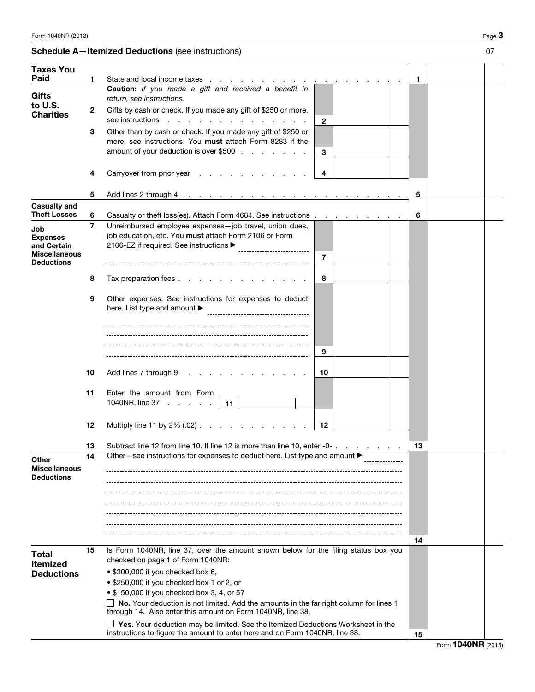## Schedule A-Itemized Deductions (see instructions) 07

| <b>Taxes You</b>                                                                   |                |                                                                                                                                                                         |              |    |  |  |  |  |
|------------------------------------------------------------------------------------|----------------|-------------------------------------------------------------------------------------------------------------------------------------------------------------------------|--------------|----|--|--|--|--|
| Paid                                                                               | 1              | State and local income taxes<br>the contract of the contract of                                                                                                         |              | 1. |  |  |  |  |
| <b>Gifts</b>                                                                       |                | Caution: If you made a gift and received a benefit in<br>return, see instructions.                                                                                      |              |    |  |  |  |  |
| to U.S.<br><b>Charities</b>                                                        | 2              | Gifts by cash or check. If you made any gift of \$250 or more,<br>see instructions<br>$\sim$ $\sim$                                                                     | $\mathbf{2}$ |    |  |  |  |  |
|                                                                                    | 3              | Other than by cash or check. If you made any gift of \$250 or<br>more, see instructions. You must attach Form 8283 if the<br>amount of your deduction is over \$500     | 3            |    |  |  |  |  |
|                                                                                    | 4              | Carryover from prior year                                                                                                                                               | 4            |    |  |  |  |  |
|                                                                                    | 5              | Add lines 2 through 4                                                                                                                                                   |              | 5  |  |  |  |  |
| <b>Casualty and</b><br><b>Theft Losses</b>                                         |                |                                                                                                                                                                         |              |    |  |  |  |  |
|                                                                                    | 6              | Casualty or theft loss(es). Attach Form 4684. See instructions.                                                                                                         |              | 6  |  |  |  |  |
| Job<br><b>Expenses</b><br>and Certain<br><b>Miscellaneous</b><br><b>Deductions</b> | $\overline{7}$ | Unreimbursed employee expenses-job travel, union dues,<br>job education, etc. You must attach Form 2106 or Form<br>2106-EZ if required. See instructions ▶              | 7            |    |  |  |  |  |
|                                                                                    | 8              | Tax preparation fees                                                                                                                                                    | 8            |    |  |  |  |  |
|                                                                                    | 9              | Other expenses. See instructions for expenses to deduct<br>here. List type and amount $\blacktriangleright$                                                             |              |    |  |  |  |  |
|                                                                                    |                |                                                                                                                                                                         | 9            |    |  |  |  |  |
|                                                                                    | 10             | Add lines 7 through 9                                                                                                                                                   | 10           |    |  |  |  |  |
|                                                                                    | 11             | Enter the amount from Form<br>1040NR, line 37<br>$\vert$ 11                                                                                                             |              |    |  |  |  |  |
|                                                                                    | 12             | 12                                                                                                                                                                      |              |    |  |  |  |  |
|                                                                                    | 13             | Subtract line 12 from line 10. If line 12 is more than line 10, enter -0-.                                                                                              |              |    |  |  |  |  |
| Other<br><b>Miscellaneous</b><br><b>Deductions</b>                                 | 14             | Other – see instructions for expenses to deduct here. List type and amount $\blacktriangleright$                                                                        |              |    |  |  |  |  |
|                                                                                    | 15             | Is Form 1040NR, line 37, over the amount shown below for the filing status box you                                                                                      |              | 14 |  |  |  |  |
| <b>Total</b><br><b>Itemized</b>                                                    |                | checked on page 1 of Form 1040NR:                                                                                                                                       |              |    |  |  |  |  |
| <b>Deductions</b>                                                                  |                | • \$300,000 if you checked box 6,                                                                                                                                       |              |    |  |  |  |  |
|                                                                                    |                | • \$250,000 if you checked box 1 or 2, or                                                                                                                               |              |    |  |  |  |  |
|                                                                                    |                | • \$150,000 if you checked box 3, 4, or 5?                                                                                                                              |              |    |  |  |  |  |
|                                                                                    |                | $\Box$ No. Your deduction is not limited. Add the amounts in the far right column for lines 1<br>through 14. Also enter this amount on Form 1040NR, line 38.            |              |    |  |  |  |  |
|                                                                                    |                | $\Box$ Yes. Your deduction may be limited. See the Itemized Deductions Worksheet in the<br>instructions to figure the amount to enter here and on Form 1040NR, line 38. | 15           |    |  |  |  |  |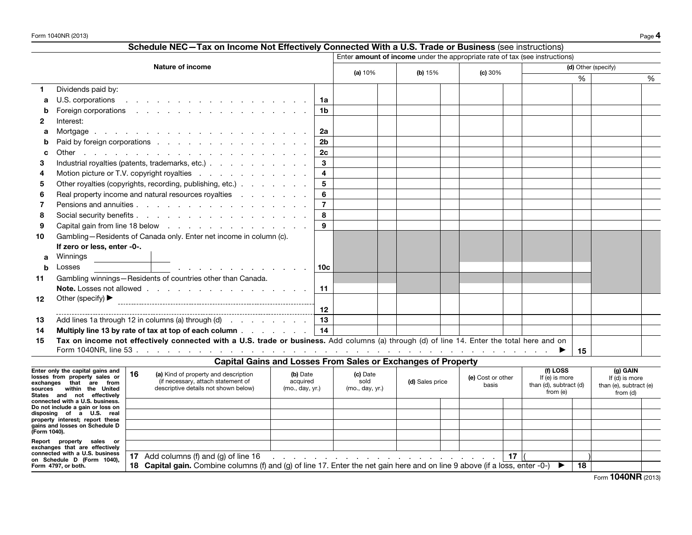|              | Schedule NEC-Tax on Income Not Effectively Connected With a U.S. Trade or Business (see instructions)                                                                            |                         |                  |  |                                                                                 |  |                   |                 |                                    |    |                            |   |
|--------------|----------------------------------------------------------------------------------------------------------------------------------------------------------------------------------|-------------------------|------------------|--|---------------------------------------------------------------------------------|--|-------------------|-----------------|------------------------------------|----|----------------------------|---|
|              |                                                                                                                                                                                  |                         |                  |  | Enter amount of income under the appropriate rate of tax (see instructions)     |  |                   |                 |                                    |    |                            |   |
|              | <b>Nature of income</b>                                                                                                                                                          |                         |                  |  | (a) 10%<br>(b) $15%$                                                            |  | (c) 30%           |                 | (d) Other (specify)                |    |                            |   |
|              |                                                                                                                                                                                  |                         |                  |  |                                                                                 |  |                   |                 |                                    | %  |                            | % |
| 1.           | Dividends paid by:                                                                                                                                                               |                         |                  |  |                                                                                 |  |                   |                 |                                    |    |                            |   |
| a            | U.S. corporations<br>the contract of the contract of the contract of the contract of the contract of the contract of the contract of                                             | 1a                      |                  |  |                                                                                 |  |                   |                 |                                    |    |                            |   |
| b            | Foreign corporations research and research and research and research and research and research and research and                                                                  | 1b                      |                  |  |                                                                                 |  |                   |                 |                                    |    |                            |   |
| 2            | Interest:                                                                                                                                                                        |                         |                  |  |                                                                                 |  |                   |                 |                                    |    |                            |   |
| a            |                                                                                                                                                                                  | 2a                      |                  |  |                                                                                 |  |                   |                 |                                    |    |                            |   |
| b            | Paid by foreign corporations                                                                                                                                                     | 2 <sub>b</sub>          |                  |  |                                                                                 |  |                   |                 |                                    |    |                            |   |
| C            |                                                                                                                                                                                  | 2 <sub>c</sub>          |                  |  |                                                                                 |  |                   |                 |                                    |    |                            |   |
| 3            | Industrial royalties (patents, trademarks, etc.)                                                                                                                                 | 3                       |                  |  |                                                                                 |  |                   |                 |                                    |    |                            |   |
| 4            | Motion picture or T.V. copyright royalties                                                                                                                                       | $\overline{\mathbf{4}}$ |                  |  |                                                                                 |  |                   |                 |                                    |    |                            |   |
| 5            | Other royalties (copyrights, recording, publishing, etc.)                                                                                                                        | 5                       |                  |  |                                                                                 |  |                   |                 |                                    |    |                            |   |
| 6            | Real property income and natural resources royalties                                                                                                                             | 6                       |                  |  |                                                                                 |  |                   |                 |                                    |    |                            |   |
| 7            |                                                                                                                                                                                  | $\overline{7}$          |                  |  |                                                                                 |  |                   |                 |                                    |    |                            |   |
| 8            |                                                                                                                                                                                  | 8                       |                  |  |                                                                                 |  |                   |                 |                                    |    |                            |   |
| 9            |                                                                                                                                                                                  | 9                       |                  |  |                                                                                 |  |                   |                 |                                    |    |                            |   |
| 10           | Gambling-Residents of Canada only. Enter net income in column (c).                                                                                                               |                         |                  |  |                                                                                 |  |                   |                 |                                    |    |                            |   |
|              | If zero or less, enter -0-.                                                                                                                                                      |                         |                  |  |                                                                                 |  |                   |                 |                                    |    |                            |   |
| a            | Winnings                                                                                                                                                                         |                         |                  |  |                                                                                 |  |                   |                 |                                    |    |                            |   |
| b            | Losses<br>the contract of the contract of the contract of the                                                                                                                    | 10c                     |                  |  |                                                                                 |  |                   |                 |                                    |    |                            |   |
| 11           | Gambling winnings-Residents of countries other than Canada.                                                                                                                      |                         |                  |  |                                                                                 |  |                   |                 |                                    |    |                            |   |
|              |                                                                                                                                                                                  | 11                      |                  |  |                                                                                 |  |                   |                 |                                    |    |                            |   |
| 12           | Other (specify) ▶                                                                                                                                                                |                         |                  |  |                                                                                 |  |                   |                 |                                    |    |                            |   |
|              |                                                                                                                                                                                  | 12                      |                  |  |                                                                                 |  |                   |                 |                                    |    |                            |   |
| 13           | Add lines 1a through 12 in columns (a) through $(d)$                                                                                                                             | 13                      |                  |  |                                                                                 |  |                   |                 |                                    |    |                            |   |
| 14           | Multiply line 13 by rate of tax at top of each column $\ldots$                                                                                                                   | 14                      |                  |  |                                                                                 |  |                   |                 |                                    |    |                            |   |
| 15           | Tax on income not effectively connected with a U.S. trade or business. Add columns (a) through (d) of line 14. Enter the total here and on                                       |                         |                  |  |                                                                                 |  |                   |                 |                                    |    |                            |   |
|              |                                                                                                                                                                                  |                         |                  |  |                                                                                 |  |                   |                 | ▸                                  | 15 |                            |   |
|              | <b>Capital Gains and Losses From Sales or Exchanges of Property</b>                                                                                                              |                         |                  |  |                                                                                 |  |                   |                 |                                    |    |                            |   |
|              | Enter only the capital gains and<br>16<br>(a) Kind of property and description<br>(b) Date<br>losses from property sales or<br>(if necessary, attach statement of<br>acquired    |                         | (c) Date<br>sold |  |                                                                                 |  | (e) Cost or other |                 | (f) LOSS<br>If (e) is more         |    | (g) GAIN<br>If (d) is more |   |
|              | exchanges that are from<br>descriptive details not shown below)<br>(mo., day, yr.)<br>sources within the United                                                                  |                         | (mo., day, yr.)  |  | (d) Sales price                                                                 |  | basis             |                 | than (d), subtract (d)<br>from (e) |    | than (e), subtract (e)     |   |
|              | States and not effectively<br>connected with a U.S. business.                                                                                                                    |                         |                  |  |                                                                                 |  |                   |                 |                                    |    | from (d)                   |   |
|              | Do not include a gain or loss on<br>disposing of a U.S. real                                                                                                                     |                         |                  |  |                                                                                 |  |                   |                 |                                    |    |                            |   |
|              | property interest; report these                                                                                                                                                  |                         |                  |  |                                                                                 |  |                   |                 |                                    |    |                            |   |
| (Form 1040). | gains and losses on Schedule D                                                                                                                                                   |                         |                  |  |                                                                                 |  |                   |                 |                                    |    |                            |   |
|              | Report property sales or                                                                                                                                                         |                         |                  |  |                                                                                 |  |                   |                 |                                    |    |                            |   |
|              | exchanges that are effectively<br>connected with a U.S. business<br>17 Add columns (f) and (g) of line 16                                                                        |                         |                  |  |                                                                                 |  |                   | 17 <sup>1</sup> |                                    |    |                            |   |
|              | on Schedule D (Form 1040),<br>18 Capital gain, Combine columns (f) and (g) of line 17. Enter the net gain here and on line 9 above (if a loss, enter -0-)<br>Form 4797, or both. |                         |                  |  | the contract of the contract of the contract of the contract of the contract of |  |                   |                 |                                    | 18 |                            |   |

18 Capital gain. Combine columns (f) and (g) of line 17. Enter the net gain here and on line 9 above (if a loss, enter -0-)  $\blacktriangleright$  18

Form **1040NR** (2013)